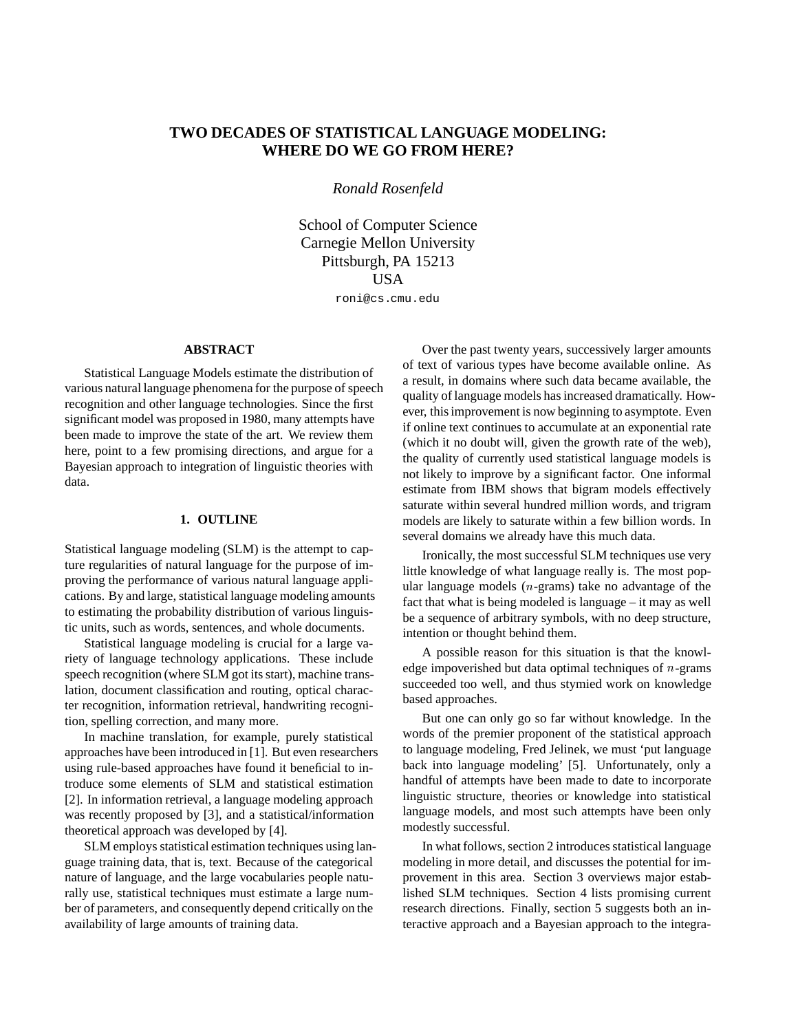# **TWO DECADES OF STATISTICAL LANGUAGE MODELING: WHERE DO WE GO FROM HERE?**

*Ronald Rosenfeld*

School of Computer Science Carnegie Mellon University Pittsburgh, PA 15213 **USA** 

roni@cs.cmu.edu

## **ABSTRACT**

Statistical Language Models estimate the distribution of various natural language phenomena for the purpose of speech recognition and other language technologies. Since the first significant model was proposed in 1980, many attempts have been made to improve the state of the art. We review them here, point to a few promising directions, and argue for a Bayesian approach to integration of linguistic theories with data.

# **1. OUTLINE**

Statistical language modeling (SLM) is the attempt to capture regularities of natural language for the purpose of improving the performance of various natural language applications. By and large, statistical language modeling amounts to estimating the probability distribution of various linguistic units, such as words, sentences, and whole documents.

Statistical language modeling is crucial for a large variety of language technology applications. These include speech recognition (where SLM got its start), machine translation, document classification and routing, optical character recognition, information retrieval, handwriting recognition, spelling correction, and many more.

In machine translation, for example, purely statistical approaches have been introduced in [1]. But even researchers using rule-based approaches have found it beneficial to introduce some elements of SLM and statistical estimation [2]. In information retrieval, a language modeling approach was recently proposed by [3], and a statistical/information theoretical approach was developed by [4].

SLM employs statistical estimation techniques using language training data, that is, text. Because of the categorical nature of language, and the large vocabularies people naturally use, statistical techniques must estimate a large number of parameters, and consequently depend critically on the availability of large amounts of training data.

Over the past twenty years, successively larger amounts of text of various types have become available online. As a result, in domains where such data became available, the quality of language models hasincreased dramatically. However, thisimprovementis now beginning to asymptote. Even if online text continues to accumulate at an exponential rate (which it no doubt will, given the growth rate of the web), the quality of currently used statistical language models is not likely to improve by a significant factor. One informal estimate from IBM shows that bigram models effectively saturate within several hundred million words, and trigram models are likely to saturate within a few billion words. In several domains we already have this much data.

Ironically, the most successful SLM techniques use very little knowledge of what language really is. The most popular language models  $(n$ -grams) take no advantage of the fact that what is being modeled is language  $-$  it may as well be a sequence of arbitrary symbols, with no deep structure, intention or thought behind them.

A possible reason for this situation is that the knowledge impoverished but data optimal techniques of  $n$ -grams succeeded too well, and thus stymied work on knowledge based approaches.

But one can only go so far without knowledge. In the words of the premier proponent of the statistical approach to language modeling, Fred Jelinek, we must 'put language back into language modeling' [5]. Unfortunately, only a handful of attempts have been made to date to incorporate linguistic structure, theories or knowledge into statistical language models, and most such attempts have been only modestly successful.

In what follows, section 2 introduces statistical language modeling in more detail, and discusses the potential for improvement in this area. Section 3 overviews major established SLM techniques. Section 4 lists promising current research directions. Finally, section 5 suggests both an interactive approach and a Bayesian approach to the integra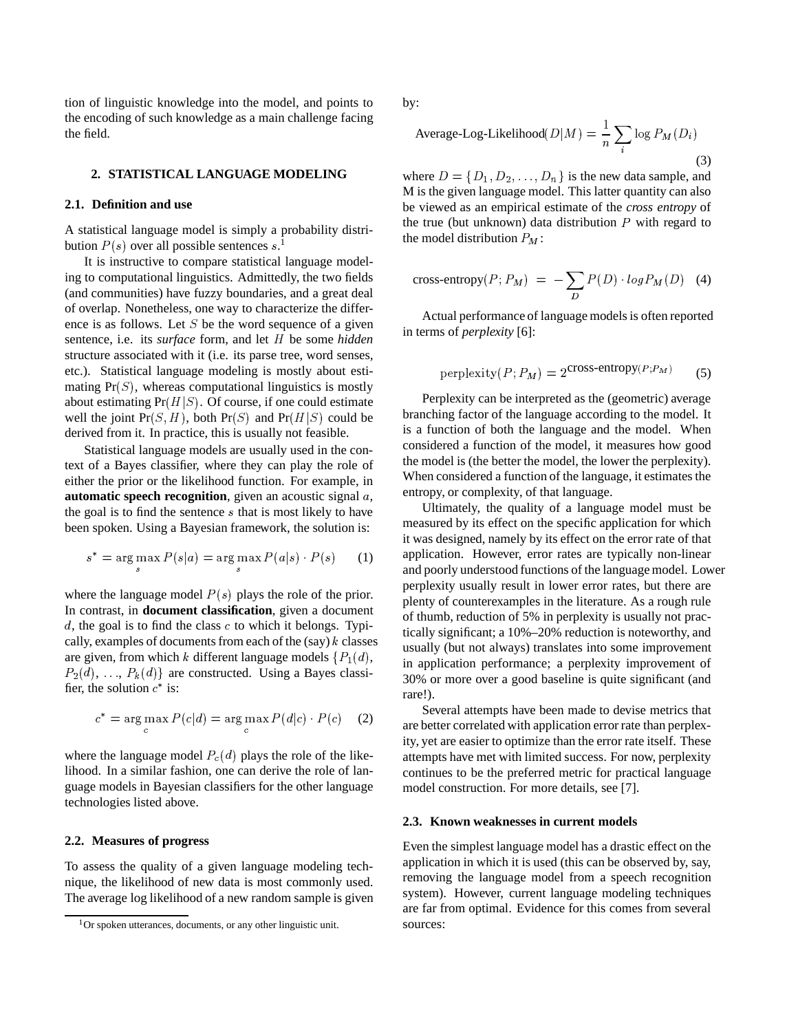tion of linguistic knowledge into the model, and points to the encoding of such knowledge as a main challenge facing the field.

## **2. STATISTICAL LANGUAGE MODELING**

## **2.1. Definition and use**

A statistical language model is simply a probability distribution  $P(s)$  over all possible sentences  $s$ .<sup>1</sup>

It is instructive to compare statistical language modeling to computational linguistics. Admittedly, the two fields (and communities) have fuzzy boundaries, and a great deal of overlap. Nonetheless, one way to characterize the difference is as follows. Let  $S$  be the word sequence of a given sentence, i.e. its *surface* form, and let H be some *hidden* structure associated with it (i.e. its parse tree, word senses, etc.). Statistical language modeling is mostly about estimating  $Pr(S)$ , whereas computational linguistics is mostly about estimating  $Pr(H|S)$ . Of course, if one could estimate well the joint  $Pr(S, H)$ , both  $Pr(S)$  and  $Pr(H|S)$  could be derived from it. In practice, this is usually not feasible.

Statistical language models are usually used in the context of a Bayes classifier, where they can play the role of either the prior or the likelihood function. For example, in **automatic speech recognition**, given an acoustic signal a, the goal is to find the sentence  $s$  that is most likely to have been spoken. Using a Bayesian framework, the solution is:

$$
s^* = \argmax_{s} P(s|a) = \argmax_{s} P(a|s) \cdot P(s) \qquad (1)
$$

where the language model  $P(s)$  plays the role of the prior. In contrast, in **document classification**, given a document  $d$ , the goal is to find the class  $c$  to which it belongs. Typically, examples of documents from each of the (say)  $k$  classes are given, from which k different language models  $\{P_1(d),\}$  $P_2(d), \ldots, P_k(d)$  are constructed. Using a Bayes classifier, the solution  $c^*$  is:

$$
c^* = \arg \max_{c} P(c|d) = \arg \max_{c} P(d|c) \cdot P(c) \quad (2)
$$

where the language model  $P_c(d)$  plays the role of the likelihood. In a similar fashion, one can derive the role of language models in Bayesian classifiers for the other language technologies listed above.

#### **2.2. Measures of progress**

To assess the quality of a given language modeling technique, the likelihood of new data is most commonly used. The average log likelihood of a new random sample is given by:

Average-Log-Likelihood(
$$
D|M
$$
) =  $\frac{1}{n} \sum_{i} \log P_{M}(D_{i})$  (3)

where  $D = \{D_1, D_2, \ldots, D_n\}$  is the new data sample, and M is the given language model. This latter quantity can also be viewed as an empirical estimate of the *cross entropy* of the true (but unknown) data distribution  $P$  with regard to the model distribution  $P_M$ :

cross-entropy
$$
(P; P_M)
$$
 =  $-\sum_D P(D) \cdot log P_M(D)$  (4)

Actual performance of language models is often reported in terms of *perplexity* [6]:

$$
\text{perplexity}(P; P_M) = 2^{\text{cross-entropy}(P; P_M)} \tag{5}
$$

Perplexity can be interpreted as the (geometric) average branching factor of the language according to the model. It is a function of both the language and the model. When considered a function of the model, it measures how good the model is (the better the model, the lower the perplexity). When considered a function of the language, it estimates the entropy, or complexity, of that language.

Ultimately, the quality of a language model must be measured by its effect on the specific application for which it was designed, namely by its effect on the error rate of that application. However, error rates are typically non-linear and poorly understood functions of the language model. Lower perplexity usually result in lower error rates, but there are plenty of counterexamples in the literature. As a rough rule of thumb, reduction of 5% in perplexity is usually not practically significant; a 10%–20% reduction is noteworthy, and usually (but not always) translates into some improvement in application performance; a perplexity improvement of 30% or more over a good baseline is quite significant (and rare!).

Several attempts have been made to devise metrics that are better correlated with application error rate than perplexity, yet are easier to optimize than the error rate itself. These attempts have met with limited success. For now, perplexity continues to be the preferred metric for practical language model construction. For more details, see [7].

#### **2.3. Known weaknesses in current models**

Even the simplest language model has a drastic effect on the application in which it is used (this can be observed by, say, removing the language model from a speech recognition system). However, current language modeling techniques are far from optimal. Evidence for this comes from several sources:

<sup>&</sup>lt;sup>1</sup>Or spoken utterances, documents, or any other linguistic unit.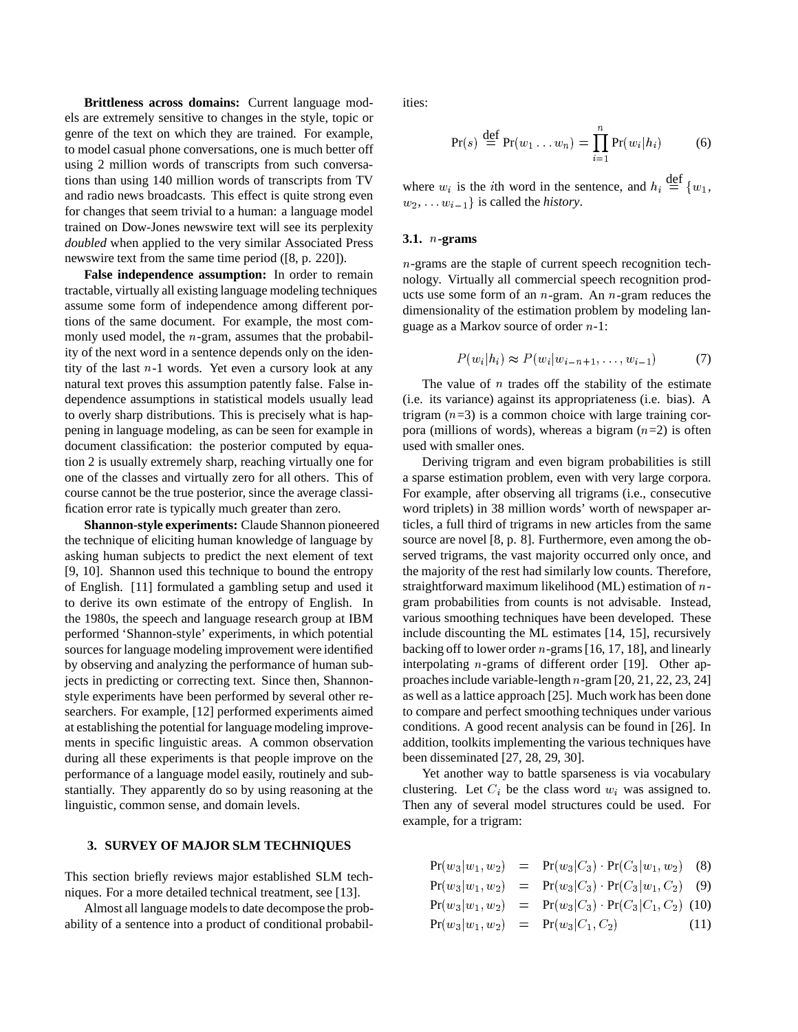**Brittleness across domains:** Current language models are extremely sensitive to changes in the style, topic or genre of the text on which they are trained. For example, to model casual phone conversations, one is much better off using 2 million words of transcripts from such conversations than using 140 million words of transcripts from TV and radio news broadcasts. This effect is quite strong even for changes that seem trivial to a human: a language model trained on Dow-Jones newswire text will see its perplexity *doubled* when applied to the very similar Associated Press newswire text from the same time period ([8, p. 220]).

**False independence assumption:** In order to remain tractable, virtually all existing language modeling techniques assume some form of independence among different portions of the same document. For example, the most commonly used model, the  $n$ -gram, assumes that the probability of the next word in a sentence depends only on the identity of the last  $n-1$  words. Yet even a cursory look at any natural text proves this assumption patently false. False independence assumptions in statistical models usually lead to overly sharp distributions. This is precisely what is happening in language modeling, as can be seen for example in document classification: the posterior computed by equation 2 is usually extremely sharp, reaching virtually one for one of the classes and virtually zero for all others. This of course cannot be the true posterior, since the average classification error rate is typically much greater than zero.

**Shannon-style experiments:** Claude Shannon pioneered the technique of eliciting human knowledge of language by asking human subjects to predict the next element of text [9, 10]. Shannon used this technique to bound the entropy of English. [11] formulated a gambling setup and used it to derive its own estimate of the entropy of English. In the 1980s, the speech and language research group at IBM performed 'Shannon-style' experiments, in which potential sources for language modeling improvement were identified by observing and analyzing the performance of human subjects in predicting or correcting text. Since then, Shannonstyle experiments have been performed by several other researchers. For example, [12] performed experiments aimed at establishing the potential for language modeling improvements in specific linguistic areas. A common observation during all these experiments is that people improve on the performance of a language model easily, routinely and substantially. They apparently do so by using reasoning at the linguistic, common sense, and domain levels.

# **3. SURVEY OF MAJOR SLM TECHNIQUES**

This section briefly reviews major established SLM techniques. For a more detailed technical treatment, see [13].

Almost all language models to date decompose the probability of a sentence into a product of conditional probabilities:

$$
\Pr(s) \stackrel{\text{def}}{=} \Pr(w_1 \dots w_n) = \prod_{i=1}^n \Pr(w_i | h_i) \tag{6}
$$

where  $w_i$  is the *i*th word in the sentence, and  $h_i \stackrel{\text{def}}{=} \{w_1,$  $w_2, \ldots w_{i-1}$  is called the *history*.

## **3.1. -grams**

 -grams are the staple of current speech recognition technology. Virtually all commercial speech recognition products use some form of an  $n$ -gram. An  $n$ -gram reduces the dimensionality of the estimation problem by modeling language as a Markov source of order  $n-1$ :

$$
P(w_i|h_i) \approx P(w_i|w_{i-n+1}, \dots, w_{i-1}) \tag{7}
$$

The value of  $n$  trades off the stability of the estimate (i.e. its variance) against its appropriateness (i.e. bias). A trigram  $(n=3)$  is a common choice with large training corpora (millions of words), whereas a bigram  $(n=2)$  is often used with smaller ones.

Deriving trigram and even bigram probabilities is still a sparse estimation problem, even with very large corpora. For example, after observing all trigrams (i.e., consecutive word triplets) in 38 million words' worth of newspaper articles, a full third of trigrams in new articles from the same source are novel [8, p. 8]. Furthermore, even among the observed trigrams, the vast majority occurred only once, and the majority of the rest had similarly low counts. Therefore, straightforward maximum likelihood (ML) estimation of  $n$ gram probabilities from counts is not advisable. Instead, various smoothing techniques have been developed. These include discounting the ML estimates [14, 15], recursively backing off to lower order  $n$ -grams [16, 17, 18], and linearly interpolating  $n$ -grams of different order [19]. Other approaches include variable-length  $n$ -gram  $[20, 21, 22, 23, 24]$ as well as a lattice approach [25]. Much work has been done to compare and perfect smoothing techniques under various conditions. A good recent analysis can be found in [26]. In addition, toolkits implementing the various techniques have been disseminated [27, 28, 29, 30].

Yet another way to battle sparseness is via vocabulary clustering. Let  $C_i$  be the class word  $w_i$  was assigned to. Then any of several model structures could be used. For example, for a trigram:

- $Pr(w_3|w_1, w_2) = Pr(w_3|C_3) \cdot Pr(C_3|w_1, w_2)$  (8)
- $Pr(w_3|w_1, w_2) = Pr(w_3|C_3) \cdot Pr(C_3|w_1, C_2)$  (9)

$$
Pr(w_3|w_1, w_2) = Pr(w_3|C_3) \cdot Pr(C_3|C_1, C_2)
$$
 (10)

$$
Pr(w_3|w_1, w_2) = Pr(w_3|C_1, C_2)
$$
 (11)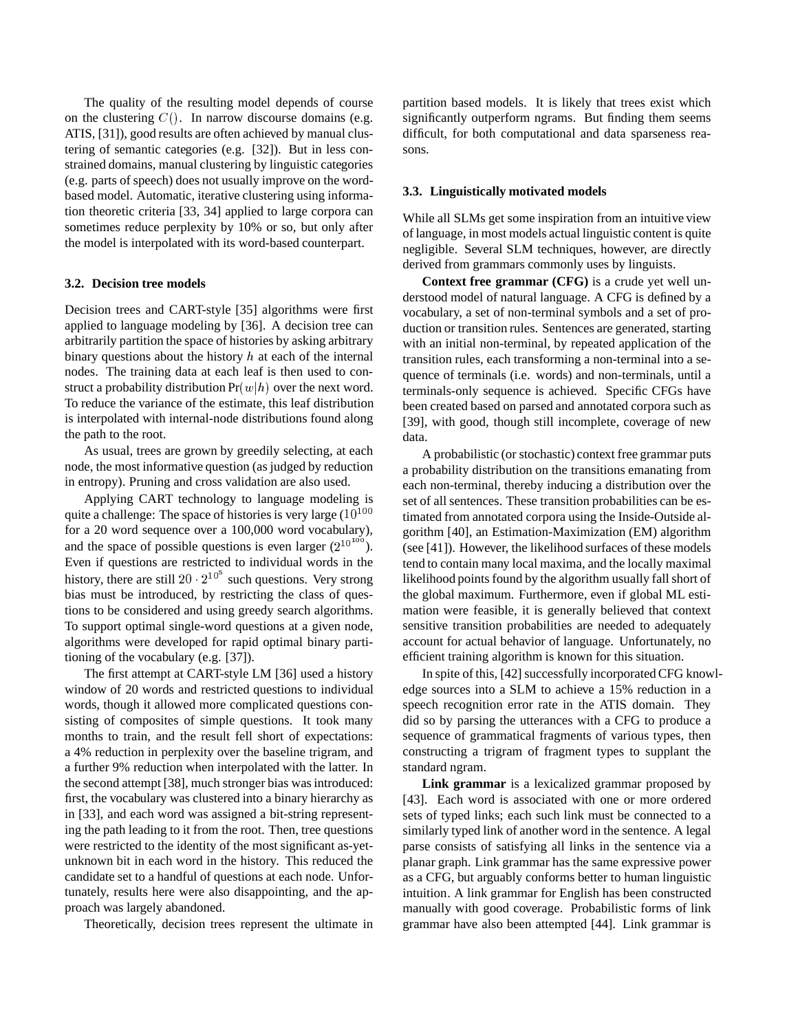The quality of the resulting model depends of course on the clustering  $C()$ . In narrow discourse domains (e.g. ATIS, [31]), good results are often achieved by manual clustering of semantic categories (e.g. [32]). But in less constrained domains, manual clustering by linguistic categories (e.g. parts of speech) does not usually improve on the wordbased model. Automatic, iterative clustering using information theoretic criteria [33, 34] applied to large corpora can sometimes reduce perplexity by 10% or so, but only after the model is interpolated with its word-based counterpart.

## **3.2. Decision tree models**

Decision trees and CART-style [35] algorithms were first applied to language modeling by [36]. A decision tree can arbitrarily partition the space of histories by asking arbitrary binary questions about the history  $h$  at each of the internal nodes. The training data at each leaf is then used to construct a probability distribution  $Pr(w|h)$  over the next word. To reduce the variance of the estimate, this leaf distribution is interpolated with internal-node distributions found along the path to the root.

As usual, trees are grown by greedily selecting, at each node, the most informative question (as judged by reduction in entropy). Pruning and cross validation are also used.

Applying CART technology to language modeling is  $\sim s$ quite a challenge: The space of histories is very large  $(10^{100}$ for a 20 word sequence over a 100,000 word vocabulary), and the space of possible questions is even larger  $(2^{10^{100}})$ . Even if questions are restricted to individual words in the history, there are still  $20 \cdot 2^{10^5}$  such questions. Very strong bias must be introduced, by restricting the class of questions to be considered and using greedy search algorithms. To support optimal single-word questions at a given node, algorithms were developed for rapid optimal binary partitioning of the vocabulary (e.g. [37]).

The first attempt at CART-style LM [36] used a history window of 20 words and restricted questions to individual words, though it allowed more complicated questions consisting of composites of simple questions. It took many months to train, and the result fell short of expectations: a 4% reduction in perplexity over the baseline trigram, and a further 9% reduction when interpolated with the latter. In the second attempt [38], much stronger bias was introduced: first, the vocabulary was clustered into a binary hierarchy as in [33], and each word was assigned a bit-string representing the path leading to it from the root. Then, tree questions were restricted to the identity of the most significant as-yetunknown bit in each word in the history. This reduced the candidate set to a handful of questions at each node. Unfortunately, results here were also disappointing, and the approach was largely abandoned.

Theoretically, decision trees represent the ultimate in

partition based models. It is likely that trees exist which significantly outperform ngrams. But finding them seems difficult, for both computational and data sparseness reasons.

#### **3.3. Linguistically motivated models**

While all SLMs get some inspiration from an intuitive view of language, in most models actual linguistic content is quite negligible. Several SLM techniques, however, are directly derived from grammars commonly uses by linguists.

**Context free grammar (CFG)** is a crude yet well understood model of natural language. A CFG is defined by a vocabulary, a set of non-terminal symbols and a set of production or transition rules. Sentences are generated, starting with an initial non-terminal, by repeated application of the transition rules, each transforming a non-terminal into a sequence of terminals (i.e. words) and non-terminals, until a terminals-only sequence is achieved. Specific CFGs have been created based on parsed and annotated corpora such as [39], with good, though still incomplete, coverage of new data.

A probabilistic (or stochastic) context free grammar puts a probability distribution on the transitions emanating from each non-terminal, thereby inducing a distribution over the set of all sentences. These transition probabilities can be estimated from annotated corpora using the Inside-Outside algorithm [40], an Estimation-Maximization (EM) algorithm (see [41]). However, the likelihood surfaces of these models tend to contain many local maxima, and the locally maximal likelihood points found by the algorithm usually fall short of the global maximum. Furthermore, even if global ML estimation were feasible, it is generally believed that context sensitive transition probabilities are needed to adequately account for actual behavior of language. Unfortunately, no efficient training algorithm is known for this situation.

In spite of this, [42] successfully incorporatedCFG knowledge sources into a SLM to achieve a 15% reduction in a speech recognition error rate in the ATIS domain. They did so by parsing the utterances with a CFG to produce a sequence of grammatical fragments of various types, then constructing a trigram of fragment types to supplant the standard ngram.

**Link grammar** is a lexicalized grammar proposed by [43]. Each word is associated with one or more ordered sets of typed links; each such link must be connected to a similarly typed link of another word in the sentence. A legal parse consists of satisfying all links in the sentence via a planar graph. Link grammar has the same expressive power as a CFG, but arguably conforms better to human linguistic intuition. A link grammar for English has been constructed manually with good coverage. Probabilistic forms of link grammar have also been attempted [44]. Link grammar is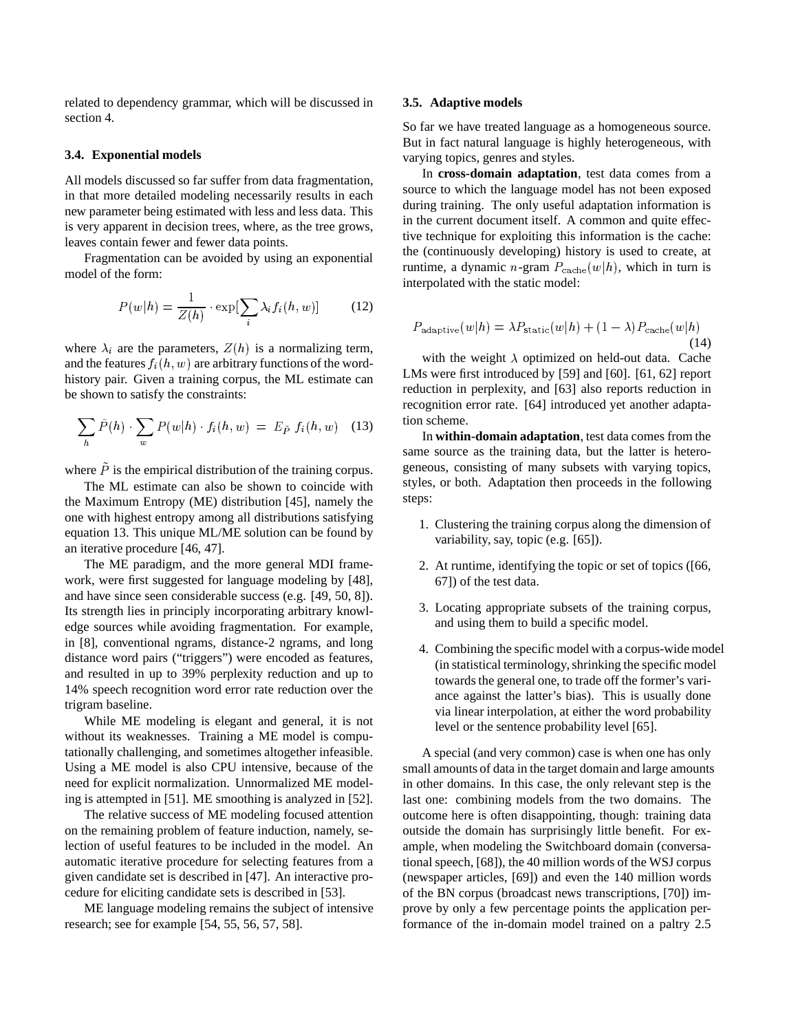related to dependency grammar, which will be discussed in section 4.

## **3.4. Exponential models**

All models discussed so far suffer from data fragmentation, in that more detailed modeling necessarily results in each new parameter being estimated with less and less data. This is very apparent in decision trees, where, as the tree grows, leaves contain fewer and fewer data points.

Fragmentation can be avoided by using an exponential model of the form:

$$
P(w|h) = \frac{1}{Z(h)} \cdot \exp[\sum_{i} \lambda_i f_i(h, w)] \tag{12}
$$

where  $\lambda_i$  are the parameters,  $Z(h)$  is a normalizing term, and the features  $f_i(h, w)$  are arbitrary functions of the wordhistory pair. Given a training corpus, the ML estimate can be shown to satisfy the constraints:

$$
\sum_{h} \tilde{P}(h) \cdot \sum_{w} P(w|h) \cdot f_i(h, w) = E_{\tilde{P}} f_i(h, w) \quad (13)
$$

where  $P$  is the empirical distribution of the training corpus.

The ML estimate can also be shown to coincide with the Maximum Entropy (ME) distribution [45], namely the one with highest entropy among all distributions satisfying equation 13. This unique ML/ME solution can be found by an iterative procedure [46, 47].

The ME paradigm, and the more general MDI framework, were first suggested for language modeling by [48], and have since seen considerable success (e.g. [49, 50, 8]). Its strength lies in principly incorporating arbitrary knowledge sources while avoiding fragmentation. For example, in [8], conventional ngrams, distance-2 ngrams, and long distance word pairs ("triggers") were encoded as features, and resulted in up to 39% perplexity reduction and up to 14% speech recognition word error rate reduction over the trigram baseline.

While ME modeling is elegant and general, it is not without its weaknesses. Training a ME model is computationally challenging, and sometimes altogether infeasible. Using a ME model is also CPU intensive, because of the need for explicit normalization. Unnormalized ME modeling is attempted in [51]. ME smoothing is analyzed in [52].

The relative success of ME modeling focused attention on the remaining problem of feature induction, namely, selection of useful features to be included in the model. An automatic iterative procedure for selecting features from a given candidate set is described in [47]. An interactive procedure for eliciting candidate sets is described in [53].

ME language modeling remains the subject of intensive research; see for example [54, 55, 56, 57, 58].

#### **3.5. Adaptive models**

So far we have treated language as a homogeneous source. But in fact natural language is highly heterogeneous, with varying topics, genres and styles.

In **cross-domain adaptation**, test data comes from a source to which the language model has not been exposed during training. The only useful adaptation information is in the current document itself. A common and quite effective technique for exploiting this information is the cache: the (continuously developing) history is used to create, at runtime, a dynamic *n*-gram  $P_{\text{cache}}(w|h)$ , which in turn is interpolated with the static model:

$$
P_{\text{adaptive}}(w|h) = \lambda P_{\text{static}}(w|h) + (1 - \lambda)P_{\text{cache}}(w|h)
$$
\n(14)

with the weight  $\lambda$  optimized on held-out data. Cache LMs were first introduced by [59] and [60]. [61, 62] report reduction in perplexity, and [63] also reports reduction in recognition error rate. [64] introduced yet another adaptation scheme.

In **within-domain adaptation**, test data comes from the same source as the training data, but the latter is heterogeneous, consisting of many subsets with varying topics, styles, or both. Adaptation then proceeds in the following steps:

- 1. Clustering the training corpus along the dimension of variability, say, topic (e.g. [65]).
- 2. At runtime, identifying the topic or set of topics ([66, 67]) of the test data.
- 3. Locating appropriate subsets of the training corpus, and using them to build a specific model.
- 4. Combining the specific model with a corpus-wide model (in statistical terminology, shrinking the specific model towards the general one, to trade off the former's variance against the latter's bias). This is usually done via linear interpolation, at either the word probability level or the sentence probability level [65].

A special (and very common) case is when one has only small amounts of data in the target domain and large amounts in other domains. In this case, the only relevant step is the last one: combining models from the two domains. The outcome here is often disappointing, though: training data outside the domain has surprisingly little benefit. For example, when modeling the Switchboard domain (conversational speech, [68]), the 40 million words of the WSJ corpus (newspaper articles, [69]) and even the 140 million words of the BN corpus (broadcast news transcriptions, [70]) improve by only a few percentage points the application performance of the in-domain model trained on a paltry 2.5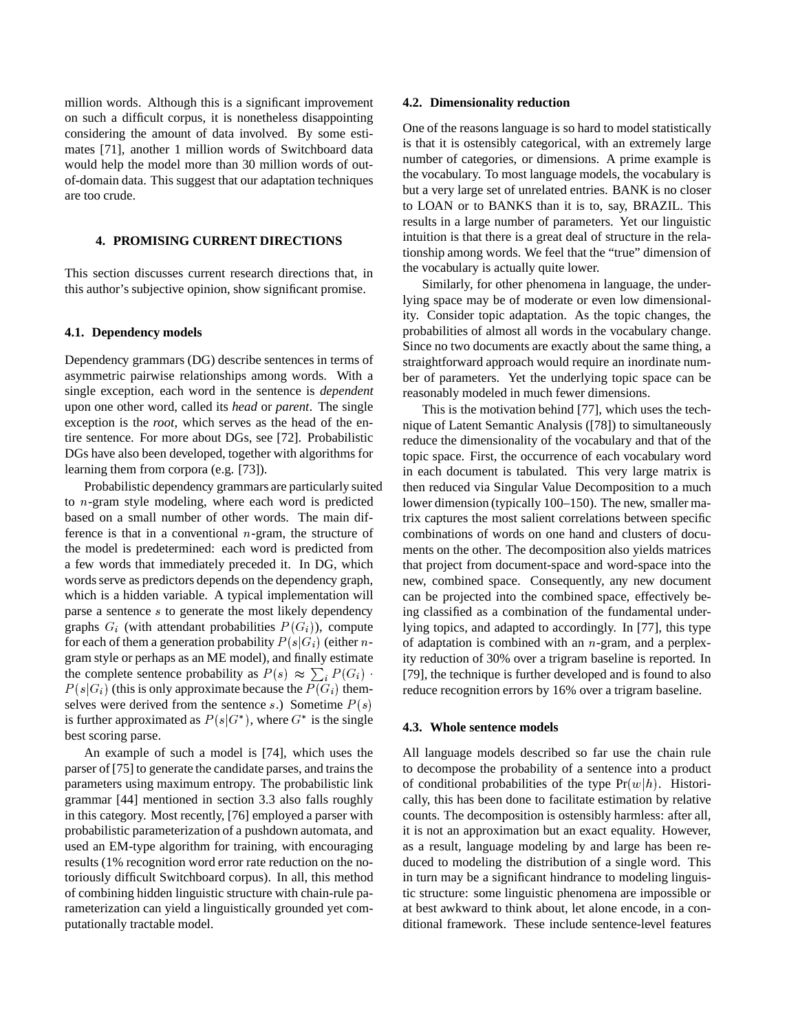million words. Although this is a significant improvement on such a difficult corpus, it is nonetheless disappointing considering the amount of data involved. By some estimates [71], another 1 million words of Switchboard data would help the model more than 30 million words of outof-domain data. This suggest that our adaptation techniques are too crude.

## **4. PROMISING CURRENT DIRECTIONS**

This section discusses current research directions that, in this author's subjective opinion, show significant promise.

#### **4.1. Dependency models**

Dependency grammars (DG) describe sentences in terms of asymmetric pairwise relationships among words. With a single exception, each word in the sentence is *dependent* upon one other word, called its *head* or *parent*. The single exception is the *root*, which serves as the head of the entire sentence. For more about DGs, see [72]. Probabilistic DGs have also been developed, together with algorithms for learning them from corpora (e.g. [73]).

Probabilistic dependency grammars are particularly suited to  $n$ -gram style modeling, where each word is predicted based on a small number of other words. The main difference is that in a conventional  $n$ -gram, the structure of the model is predetermined: each word is predicted from a few words that immediately preceded it. In DG, which words serve as predictors depends on the dependency graph, which is a hidden variable. A typical implementation will parse a sentence s to generate the most likely dependency graphs  $G_i$  (with attendant probabilities  $P(G_i)$ ), compute for each of them a generation probability  $P(s|G_i)$  (either *n*- of a gram style or perhaps as an ME model), and finally estimate the complete sentence probability as  $P(s) \approx \sum_i P(G_i)$  $P(s|G_i)$  (this is only approximate because the  $P(G_i)$  themselves were derived from the sentence s.) Sometime  $P(s)$ is further approximated as  $P(s|G^*)$ , where  $G^*$  is the single best scoring parse.

An example of such a model is [74], which uses the parser of [75] to generate the candidate parses, and trainsthe parameters using maximum entropy. The probabilistic link grammar [44] mentioned in section 3.3 also falls roughly in this category. Most recently, [76] employed a parser with probabilistic parameterization of a pushdown automata, and used an EM-type algorithm for training, with encouraging results (1% recognition word error rate reduction on the notoriously difficult Switchboard corpus). In all, this method of combining hidden linguistic structure with chain-rule parameterization can yield a linguistically grounded yet computationally tractable model.

#### **4.2. Dimensionality reduction**

One of the reasons language is so hard to model statistically is that it is ostensibly categorical, with an extremely large number of categories, or dimensions. A prime example is the vocabulary. To most language models, the vocabulary is but a very large set of unrelated entries. BANK is no closer to LOAN or to BANKS than it is to, say, BRAZIL. This results in a large number of parameters. Yet our linguistic intuition is that there is a great deal of structure in the relationship among words. We feel that the "true" dimension of the vocabulary is actually quite lower.

Similarly, for other phenomena in language, the underlying space may be of moderate or even low dimensionality. Consider topic adaptation. As the topic changes, the probabilities of almost all words in the vocabulary change. Since no two documents are exactly about the same thing, a straightforward approach would require an inordinate number of parameters. Yet the underlying topic space can be reasonably modeled in much fewer dimensions.

 $(G_i)$  [79], the technique is further developed and is found to also This is the motivation behind [77], which uses the technique of Latent Semantic Analysis ([78]) to simultaneously reduce the dimensionality of the vocabulary and that of the topic space. First, the occurrence of each vocabulary word in each document is tabulated. This very large matrix is then reduced via Singular Value Decomposition to a much lower dimension (typically 100–150). The new, smaller matrix captures the most salient correlations between specific combinations of words on one hand and clusters of documents on the other. The decomposition also yields matrices that project from document-space and word-space into the new, combined space. Consequently, any new document can be projected into the combined space, effectively being classified as a combination of the fundamental underlying topics, and adapted to accordingly. In [77], this type of adaptation is combined with an  $n$ -gram, and a perplexity reduction of 30% over a trigram baseline is reported. In reduce recognition errors by 16% over a trigram baseline.

#### **4.3. Whole sentence models**

All language models described so far use the chain rule to decompose the probability of a sentence into a product of conditional probabilities of the type  $Pr(w|h)$ . Historically, this has been done to facilitate estimation by relative counts. The decomposition is ostensibly harmless: after all, it is not an approximation but an exact equality. However, as a result, language modeling by and large has been reduced to modeling the distribution of a single word. This in turn may be a significant hindrance to modeling linguistic structure: some linguistic phenomena are impossible or at best awkward to think about, let alone encode, in a conditional framework. These include sentence-level features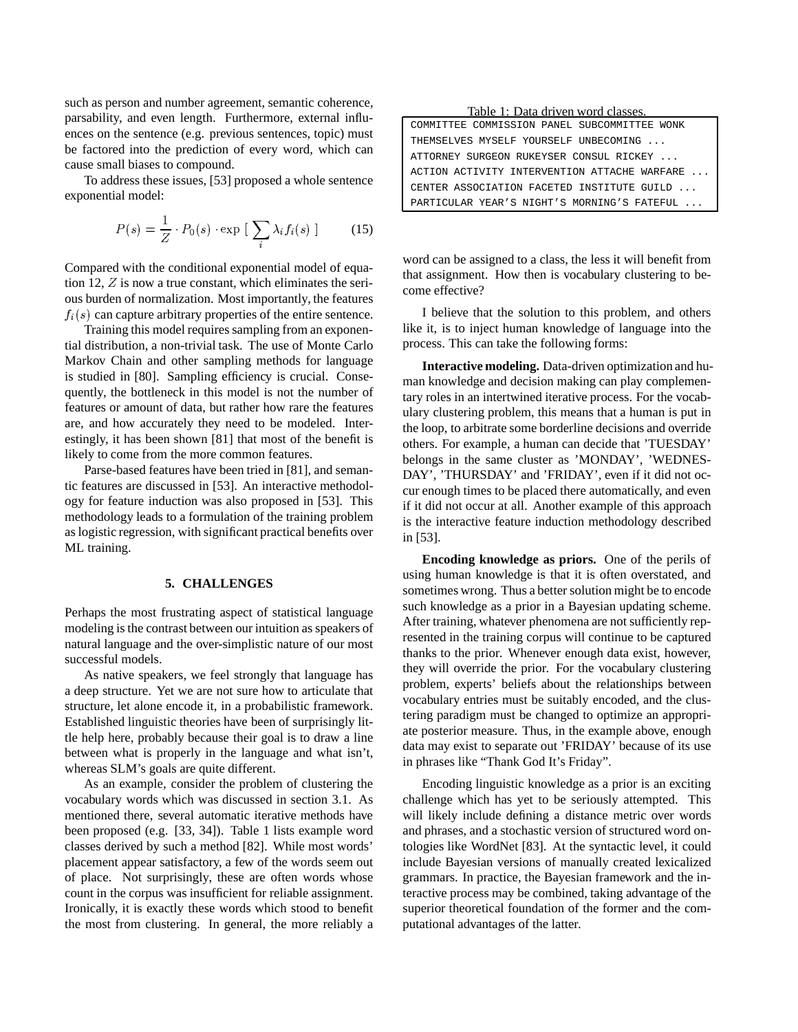such as person and number agreement, semantic coherence, parsability, and even length. Furthermore, external influences on the sentence (e.g. previous sentences, topic) must be factored into the prediction of every word, which can cause small biases to compound.

To address these issues, [53] proposed a whole sentence exponential model:

$$
P(s) = \frac{1}{Z} \cdot P_0(s) \cdot \exp\left[\sum_i \lambda_i f_i(s)\right] \tag{15}
$$

Compared with the conditional exponential model of equation 12,  $Z$  is now a true constant, which eliminates the serious burden of normalization. Most importantly, the features  $f_i(s)$  can capture arbitrary properties of the entire sentence.

Training this model requires sampling from an exponential distribution, a non-trivial task. The use of Monte Carlo Markov Chain and other sampling methods for language is studied in [80]. Sampling efficiency is crucial. Consequently, the bottleneck in this model is not the number of features or amount of data, but rather how rare the features are, and how accurately they need to be modeled. Interestingly, it has been shown [81] that most of the benefit is likely to come from the more common features.

Parse-based features have been tried in [81], and semantic features are discussed in [53]. An interactive methodology for feature induction was also proposed in [53]. This methodology leads to a formulation of the training problem as logistic regression, with significant practical benefits over ML training.

#### **5. CHALLENGES**

Perhaps the most frustrating aspect of statistical language modeling is the contrast between our intuition as speakers of natural language and the over-simplistic nature of our most successful models.

As native speakers, we feel strongly that language has a deep structure. Yet we are not sure how to articulate that structure, let alone encode it, in a probabilistic framework. Established linguistic theories have been of surprisingly little help here, probably because their goal is to draw a line between what is properly in the language and what isn't, whereas SLM's goals are quite different.

As an example, consider the problem of clustering the vocabulary words which was discussed in section 3.1. As mentioned there, several automatic iterative methods have been proposed (e.g. [33, 34]). Table 1 lists example word classes derived by such a method [82]. While most words' placement appear satisfactory, a few of the words seem out of place. Not surprisingly, these are often words whose count in the corpus was insufficient for reliable assignment. Ironically, it is exactly these words which stood to benefit the most from clustering. In general, the more reliably a

Table 1: Data driven word classes.

| COMMITTEE COMMISSION PANEL SUBCOMMITTEE WONK |
|----------------------------------------------|
| THEMSELVES MYSELF YOURSELF UNBECOMING        |
| ATTORNEY SURGEON RUKEYSER CONSUL RICKEY      |
| ACTION ACTIVITY INTERVENTION ATTACHE WARFARE |
| CENTER ASSOCIATION FACETED INSTITUTE GUILD   |
| PARTICULAR YEAR'S NIGHT'S MORNING'S FATEFUL  |

word can be assigned to a class, the less it will benefit from that assignment. How then is vocabulary clustering to become effective?

I believe that the solution to this problem, and others like it, is to inject human knowledge of language into the process. This can take the following forms:

**Interactive modeling.** Data-driven optimization and human knowledge and decision making can play complementary roles in an intertwined iterative process. For the vocabulary clustering problem, this means that a human is put in the loop, to arbitrate some borderline decisions and override others. For example, a human can decide that 'TUESDAY' belongs in the same cluster as 'MONDAY', 'WEDNES-DAY', 'THURSDAY' and 'FRIDAY', even if it did not occur enough times to be placed there automatically, and even if it did not occur at all. Another example of this approach is the interactive feature induction methodology described in [53].

**Encoding knowledge as priors.** One of the perils of using human knowledge is that it is often overstated, and sometimes wrong. Thus a better solution might be to encode such knowledge as a prior in a Bayesian updating scheme. After training, whatever phenomena are not sufficiently represented in the training corpus will continue to be captured thanks to the prior. Whenever enough data exist, however, they will override the prior. For the vocabulary clustering problem, experts' beliefs about the relationships between vocabulary entries must be suitably encoded, and the clustering paradigm must be changed to optimize an appropriate posterior measure. Thus, in the example above, enough data may exist to separate out 'FRIDAY' because of its use in phrases like "Thank God It's Friday".

Encoding linguistic knowledge as a prior is an exciting challenge which has yet to be seriously attempted. This will likely include defining a distance metric over words and phrases, and a stochastic version of structured word ontologies like WordNet [83]. At the syntactic level, it could include Bayesian versions of manually created lexicalized grammars. In practice, the Bayesian framework and the interactive process may be combined, taking advantage of the superior theoretical foundation of the former and the computational advantages of the latter.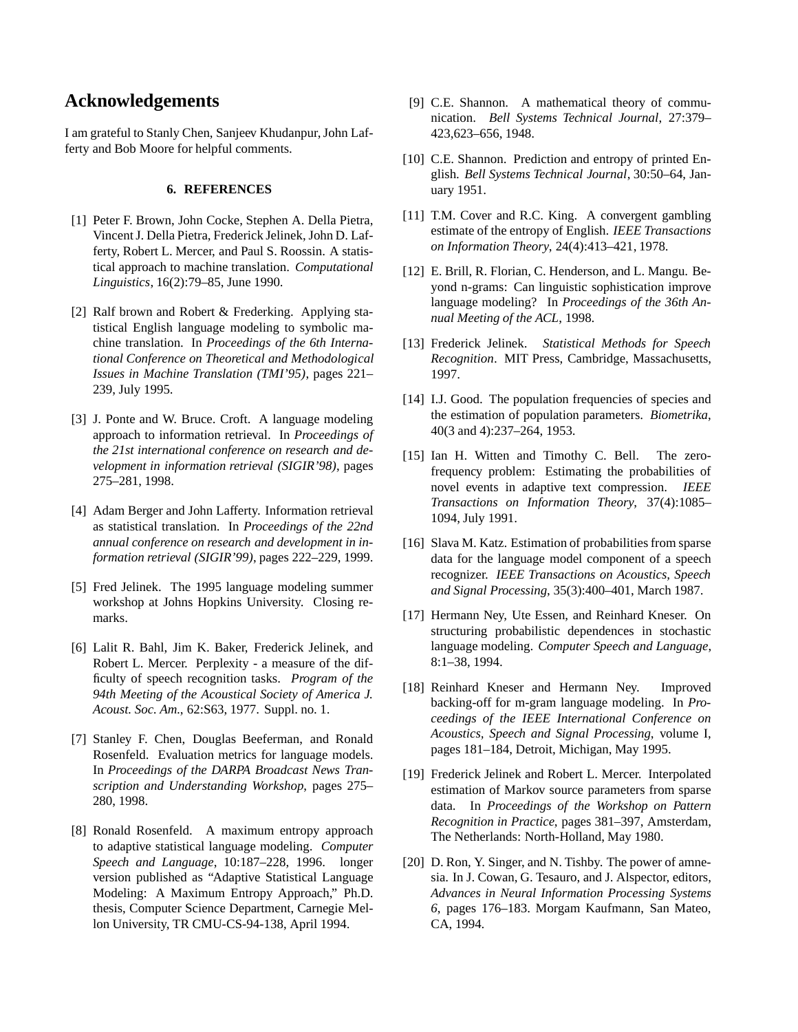# **Acknowledgements**

I am grateful to Stanly Chen, Sanjeev Khudanpur, John Lafferty and Bob Moore for helpful comments.

# **6. REFERENCES**

- [1] Peter F. Brown, John Cocke, Stephen A. Della Pietra, Vincent J. Della Pietra, Frederick Jelinek, John D. Lafferty, Robert L. Mercer, and Paul S. Roossin. A statistical approach to machine translation. *Computational Linguistics*, 16(2):79–85, June 1990.
- [2] Ralf brown and Robert & Frederking. Applying statistical English language modeling to symbolic machine translation. In *Proceedings of the 6th International Conference on Theoretical and Methodological Issues in Machine Translation (TMI'95)*, pages 221– 239, July 1995.
- [3] J. Ponte and W. Bruce. Croft. A language modeling approach to information retrieval. In *Proceedings of the 21st international conference on research and development in information retrieval (SIGIR'98)*, pages 275–281, 1998.
- [4] Adam Berger and John Lafferty. Information retrieval as statistical translation. In *Proceedings of the 22nd annual conference on research and development in information retrieval (SIGIR'99)*, pages 222–229, 1999.
- [5] Fred Jelinek. The 1995 language modeling summer workshop at Johns Hopkins University. Closing remarks.
- [6] Lalit R. Bahl, Jim K. Baker, Frederick Jelinek, and Robert L. Mercer. Perplexity - a measure of the difficulty of speech recognition tasks. *Program of the 94th Meeting of the Acoustical Society of America J. Acoust. Soc. Am.*, 62:S63, 1977. Suppl. no. 1.
- [7] Stanley F. Chen, Douglas Beeferman, and Ronald Rosenfeld. Evaluation metrics for language models. In *Proceedings of the DARPA Broadcast News Transcription and Understanding Workshop*, pages 275– 280, 1998.
- [8] Ronald Rosenfeld. A maximum entropy approach to adaptive statistical language modeling. *Computer Speech and Language*, 10:187–228, 1996. longer version published as "Adaptive Statistical Language Modeling: A Maximum Entropy Approach," Ph.D. thesis, Computer Science Department, Carnegie Mellon University, TR CMU-CS-94-138, April 1994.
- [9] C.E. Shannon. A mathematical theory of communication. *Bell Systems Technical Journal*, 27:379– 423,623–656, 1948.
- [10] C.E. Shannon. Prediction and entropy of printed English. *Bell Systems Technical Journal*, 30:50–64, January 1951.
- [11] T.M. Cover and R.C. King. A convergent gambling estimate of the entropy of English. *IEEE Transactions on Information Theory*, 24(4):413–421, 1978.
- [12] E. Brill, R. Florian, C. Henderson, and L. Mangu. Beyond n-grams: Can linguistic sophistication improve language modeling? In *Proceedings of the 36th Annual Meeting of the ACL*, 1998.
- [13] Frederick Jelinek. *Statistical Methods for Speech Recognition*. MIT Press, Cambridge, Massachusetts, 1997.
- [14] I.J. Good. The population frequencies of species and the estimation of population parameters. *Biometrika*, 40(3 and 4):237–264, 1953.
- [15] Ian H. Witten and Timothy C. Bell. The zerofrequency problem: Estimating the probabilities of novel events in adaptive text compression. *IEEE Transactions on Information Theory*, 37(4):1085– 1094, July 1991.
- [16] Slava M. Katz. Estimation of probabilities from sparse data for the language model component of a speech recognizer. *IEEE Transactions on Acoustics, Speech and Signal Processing*, 35(3):400–401, March 1987.
- [17] Hermann Ney, Ute Essen, and Reinhard Kneser. On structuring probabilistic dependences in stochastic language modeling. *Computer Speech and Language*, 8:1–38, 1994.
- [18] Reinhard Kneser and Hermann Ney. Improved backing-off for m-gram language modeling. In *Proceedings of the IEEE International Conference on Acoustics, Speech and Signal Processing*, volume I, pages 181–184, Detroit, Michigan, May 1995.
- [19] Frederick Jelinek and Robert L. Mercer. Interpolated estimation of Markov source parameters from sparse data. In *Proceedings of the Workshop on Pattern Recognition in Practice*, pages 381–397, Amsterdam, The Netherlands: North-Holland, May 1980.
- [20] D. Ron, Y. Singer, and N. Tishby. The power of amnesia. In J. Cowan, G. Tesauro, and J. Alspector, editors, *Advances in Neural Information Processing Systems 6*, pages 176–183. Morgam Kaufmann, San Mateo, CA, 1994.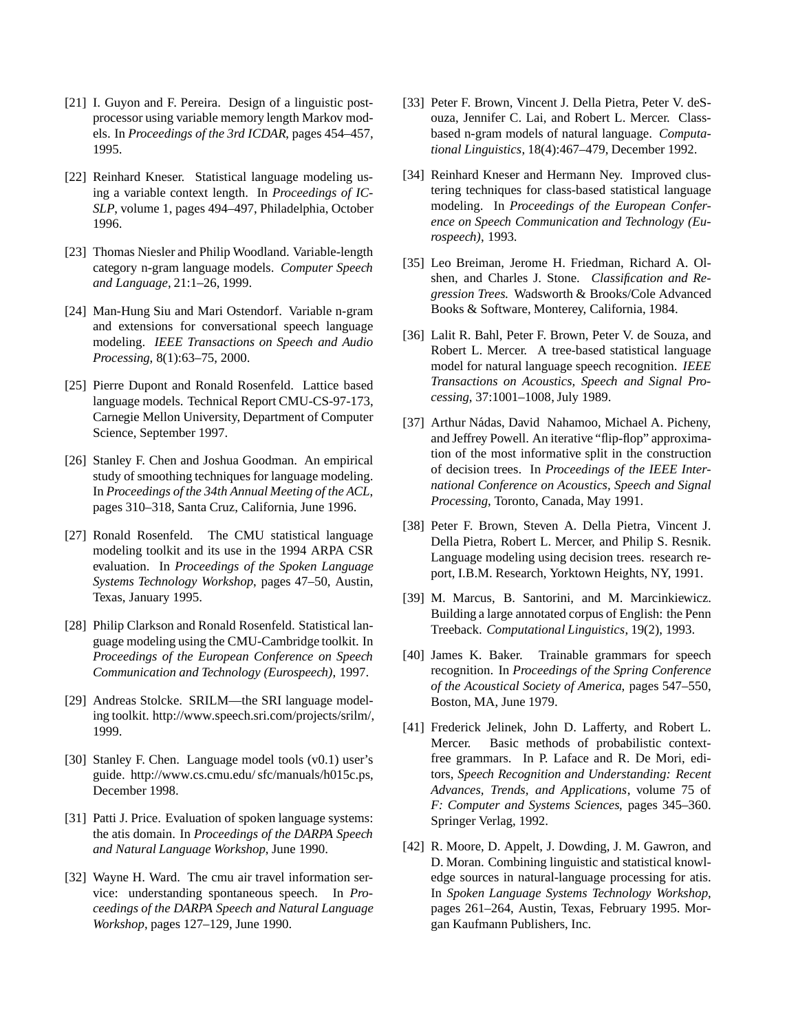- [21] I. Guyon and F. Pereira. Design of a linguistic postprocessor using variable memory length Markov models. In *Proceedings of the 3rd ICDAR*, pages 454–457, 1995.
- [22] Reinhard Kneser. Statistical language modeling using a variable context length. In *Proceedings of IC-SLP*, volume 1, pages 494–497, Philadelphia, October 1996.
- [23] Thomas Niesler and Philip Woodland. Variable-length category n-gram language models. *Computer Speech and Language*, 21:1–26, 1999.
- [24] Man-Hung Siu and Mari Ostendorf. Variable n-gram and extensions for conversational speech language modeling. *IEEE Transactions on Speech and Audio Processing*, 8(1):63–75, 2000.
- [25] Pierre Dupont and Ronald Rosenfeld. Lattice based language models. Technical Report CMU-CS-97-173, Carnegie Mellon University, Department of Computer Science, September 1997.
- [26] Stanley F. Chen and Joshua Goodman. An empirical study of smoothing techniques for language modeling. In *Proceedings ofthe 34th Annual Meeting ofthe ACL*, pages 310–318, Santa Cruz, California, June 1996.
- [27] Ronald Rosenfeld. The CMU statistical language modeling toolkit and its use in the 1994 ARPA CSR evaluation. In *Proceedings of the Spoken Language Systems Technology Workshop*, pages 47–50, Austin, Texas, January 1995.
- [28] Philip Clarkson and Ronald Rosenfeld. Statistical language modeling using the CMU-Cambridge toolkit. In *Proceedings of the European Conference on Speech Communication and Technology (Eurospeech)*, 1997.
- [29] Andreas Stolcke. SRILM—the SRI language modeling toolkit. http://www.speech.sri.com/projects/srilm/, 1999.
- [30] Stanley F. Chen. Language model tools  $(v0.1)$  user's guide. http://www.cs.cmu.edu/sfc/manuals/h015c.ps, December 1998.
- [31] Patti J. Price. Evaluation of spoken language systems: the atis domain. In *Proceedings of the DARPA Speech and NaturalLanguage Workshop*, June 1990.
- [32] Wayne H. Ward. The cmu air travel information service: understanding spontaneous speech. In *Proceedings of the DARPA Speech and NaturalLanguage Workshop*, pages 127–129, June 1990.
- [33] Peter F. Brown, Vincent J. Della Pietra, Peter V. deSouza, Jennifer C. Lai, and Robert L. Mercer. Classbased n-gram models of natural language. *Computational Linguistics*, 18(4):467–479, December 1992.
- [34] Reinhard Kneser and Hermann Ney. Improved clustering techniques for class-based statistical language modeling. In *Proceedings of the European Conference on Speech Communication and Technology (Eurospeech)*, 1993.
- [35] Leo Breiman, Jerome H. Friedman, Richard A. Olshen, and Charles J. Stone. *Classification and Regression Trees*. Wadsworth & Brooks/Cole Advanced Books & Software, Monterey, California, 1984.
- [36] Lalit R. Bahl, Peter F. Brown, Peter V. de Souza, and Robert L. Mercer. A tree-based statistical language model for natural language speech recognition. *IEEE Transactions on Acoustics, Speech and Signal Processing*, 37:1001–1008,July 1989.
- [37] Arthur Nádas, David Nahamoo, Michael A. Picheny, and Jeffrey Powell. An iterative "flip-flop" approximation of the most informative split in the construction of decision trees. In *Proceedings of the IEEE International Conference on Acoustics, Speech and Signal Processing*, Toronto, Canada, May 1991.
- [38] Peter F. Brown, Steven A. Della Pietra, Vincent J. Della Pietra, Robert L. Mercer, and Philip S. Resnik. Language modeling using decision trees. research report, I.B.M. Research, Yorktown Heights, NY, 1991.
- [39] M. Marcus, B. Santorini, and M. Marcinkiewicz. Building a large annotated corpus of English: the Penn Treeback. *ComputationalLinguistics*, 19(2), 1993.
- [40] James K. Baker. Trainable grammars for speech recognition. In *Proceedings of the Spring Conference of the Acoustical Society of America*, pages 547–550, Boston, MA, June 1979.
- [41] Frederick Jelinek, John D. Lafferty, and Robert L. Mercer. Basic methods of probabilistic contextfree grammars. In P. Laface and R. De Mori, editors, *Speech Recognition and Understanding: Recent Advances, Trends, and Applications*, volume 75 of *F: Computer and Systems Sciences*, pages 345–360. Springer Verlag, 1992.
- [42] R. Moore, D. Appelt, J. Dowding, J. M. Gawron, and D. Moran. Combining linguistic and statistical knowledge sources in natural-language processing for atis. In *Spoken Language Systems Technology Workshop*, pages 261–264, Austin, Texas, February 1995. Morgan Kaufmann Publishers, Inc.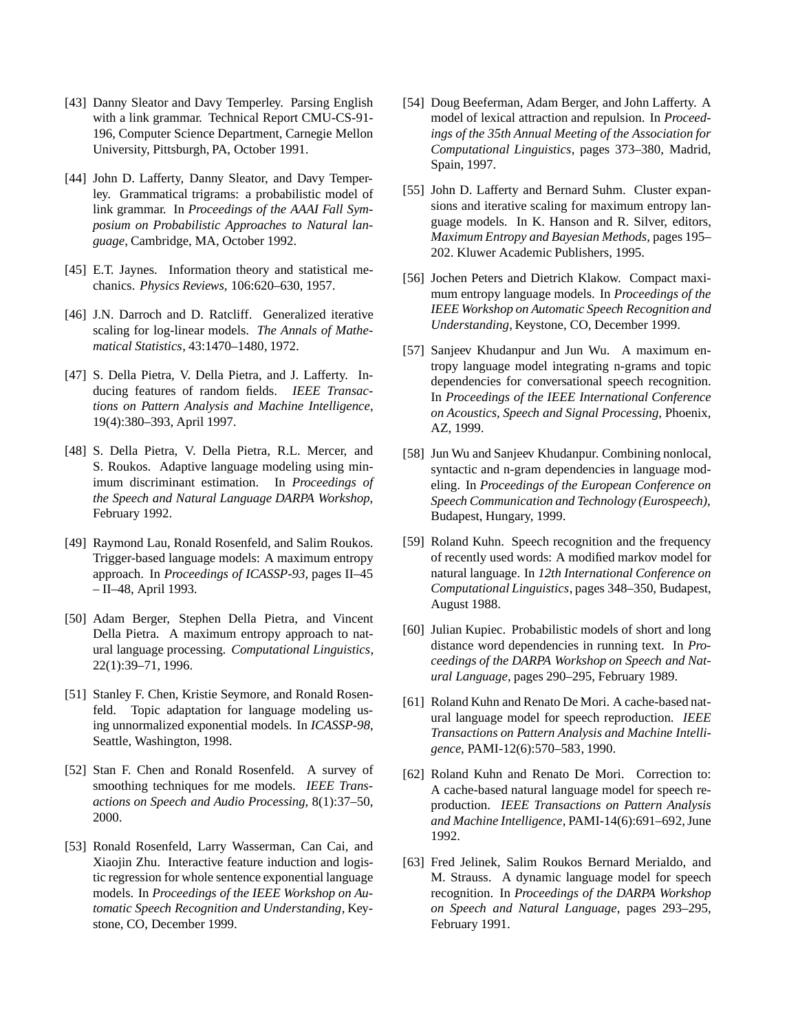- [43] Danny Sleator and Davy Temperley. Parsing English with a link grammar. Technical Report CMU-CS-91- 196, Computer Science Department, Carnegie Mellon University, Pittsburgh,PA, October 1991.
- [44] John D. Lafferty, Danny Sleator, and Davy Temperley. Grammatical trigrams: a probabilistic model of link grammar. In *Proceedings of the AAAI Fall Symposium on Probabilistic Approaches to Natural language*, Cambridge, MA, October 1992.
- [45] E.T. Jaynes. Information theory and statistical mechanics. *Physics Reviews*, 106:620–630, 1957.
- [46] J.N. Darroch and D. Ratcliff. Generalized iterative scaling for log-linear models. *The Annals of Mathematical Statistics*, 43:1470–1480, 1972.
- [47] S. Della Pietra, V. Della Pietra, and J. Lafferty. Inducing features of random fields. *IEEE Transactions on Pattern Analysis and Machine Intelligence*, 19(4):380–393, April 1997.
- [48] S. Della Pietra, V. Della Pietra, R.L. Mercer, and S. Roukos. Adaptive language modeling using minimum discriminant estimation. In *Proceedings of the Speech and Natural Language DARPA Workshop*, February 1992.
- [49] Raymond Lau, Ronald Rosenfeld, and Salim Roukos. Trigger-based language models: A maximum entropy approach. In *Proceedings of ICASSP-93*, pages II–45 – II–48, April 1993.
- [50] Adam Berger, Stephen Della Pietra, and Vincent Della Pietra. A maximum entropy approach to natural language processing. *Computational Linguistics*, 22(1):39–71, 1996.
- [51] Stanley F. Chen, Kristie Seymore, and Ronald Rosenfeld. Topic adaptation for language modeling using unnormalized exponential models. In *ICASSP-98*, Seattle, Washington, 1998.
- [52] Stan F. Chen and Ronald Rosenfeld. A survey of smoothing techniques for me models. *IEEE Transactions on Speech and Audio Processing*, 8(1):37–50, 2000.
- [53] Ronald Rosenfeld, Larry Wasserman, Can Cai, and Xiaojin Zhu. Interactive feature induction and logistic regression for whole sentence exponential language models. In *Proceedings of the IEEE Workshop on Automatic Speech Recognition and Understanding*, Keystone, CO, December 1999.
- [54] Doug Beeferman, Adam Berger, and John Lafferty. A model of lexical attraction and repulsion. In *Proceedings of the 35th Annual Meeting of the Association for Computational Linguistics*, pages 373–380, Madrid, Spain, 1997.
- [55] John D. Lafferty and Bernard Suhm. Cluster expansions and iterative scaling for maximum entropy language models. In K. Hanson and R. Silver, editors, *Maximum Entropy and Bayesian Methods*, pages 195– 202. Kluwer Academic Publishers, 1995.
- [56] Jochen Peters and Dietrich Klakow. Compact maximum entropy language models. In *Proceedings of the IEEE Workshop on Automatic Speech Recognition and Understanding*, Keystone, CO, December 1999.
- [57] Sanjeev Khudanpur and Jun Wu. A maximum entropy language model integrating n-grams and topic dependencies for conversational speech recognition. In *Proceedings of the IEEE International Conference on Acoustics, Speech and Signal Processing*, Phoenix, AZ, 1999.
- [58] Jun Wu and Sanjeev Khudanpur. Combining nonlocal, syntactic and n-gram dependencies in language modeling. In *Proceedings of the European Conference on Speech Communication andTechnology (Eurospeech)*, Budapest, Hungary, 1999.
- [59] Roland Kuhn. Speech recognition and the frequency of recently used words: A modified markov model for natural language. In *12th International Conference on ComputationalLinguistics*, pages 348–350, Budapest, August 1988.
- [60] Julian Kupiec. Probabilistic models of short and long distance word dependencies in running text. In *Proceedings of the DARPA Workshop on Speech and Natural Language*, pages 290–295, February 1989.
- [61] Roland Kuhn and Renato De Mori. A cache-based natural language model for speech reproduction. *IEEE Transactions on Pattern Analysis and Machine Intelligence*, PAMI-12(6):570–583, 1990.
- [62] Roland Kuhn and Renato De Mori. Correction to: A cache-based natural language model for speech reproduction. *IEEE Transactions on Pattern Analysis and Machine Intelligence*,PAMI-14(6):691–692,June 1992.
- [63] Fred Jelinek, Salim Roukos Bernard Merialdo, and M. Strauss. A dynamic language model for speech recognition. In *Proceedings of the DARPA Workshop on Speech and Natural Language*, pages 293–295, February 1991.